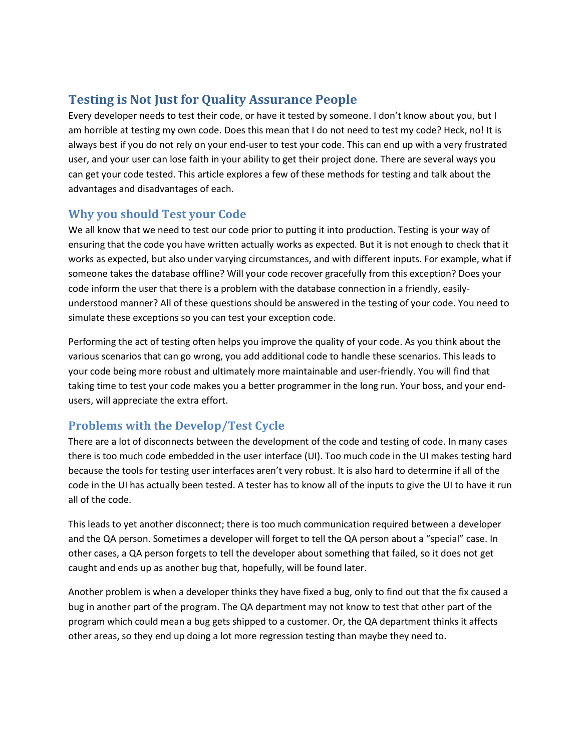# **Testing is Not Just for Quality Assurance People**

Every developer needs to test their code, or have it tested by someone. I don't know about you, but I am horrible at testing my own code. Does this mean that I do not need to test my code? Heck, no! It is always best if you do not rely on your end-user to test your code. This can end up with a very frustrated user, and your user can lose faith in your ability to get their project done. There are several ways you can get your code tested. This article explores a few of these methods for testing and talk about the advantages and disadvantages of each.

#### **Why you should Test your Code**

We all know that we need to test our code prior to putting it into production. Testing is your way of ensuring that the code you have written actually works as expected. But it is not enough to check that it works as expected, but also under varying circumstances, and with different inputs. For example, what if someone takes the database offline? Will your code recover gracefully from this exception? Does your code inform the user that there is a problem with the database connection in a friendly, easilyunderstood manner? All of these questions should be answered in the testing of your code. You need to simulate these exceptions so you can test your exception code.

Performing the act of testing often helps you improve the quality of your code. As you think about the various scenarios that can go wrong, you add additional code to handle these scenarios. This leads to your code being more robust and ultimately more maintainable and user-friendly. You will find that taking time to test your code makes you a better programmer in the long run. Your boss, and your endusers, will appreciate the extra effort.

#### **Problems with the Develop/Test Cycle**

There are a lot of disconnects between the development of the code and testing of code. In many cases there is too much code embedded in the user interface (UI). Too much code in the UI makes testing hard because the tools for testing user interfaces aren't very robust. It is also hard to determine if all of the code in the UI has actually been tested. A tester has to know all of the inputs to give the UI to have it run all of the code.

This leads to yet another disconnect; there is too much communication required between a developer and the QA person. Sometimes a developer will forget to tell the QA person about a "special" case. In other cases, a QA person forgets to tell the developer about something that failed, so it does not get caught and ends up as another bug that, hopefully, will be found later.

Another problem is when a developer thinks they have fixed a bug, only to find out that the fix caused a bug in another part of the program. The QA department may not know to test that other part of the program which could mean a bug gets shipped to a customer. Or, the QA department thinks it affects other areas, so they end up doing a lot more regression testing than maybe they need to.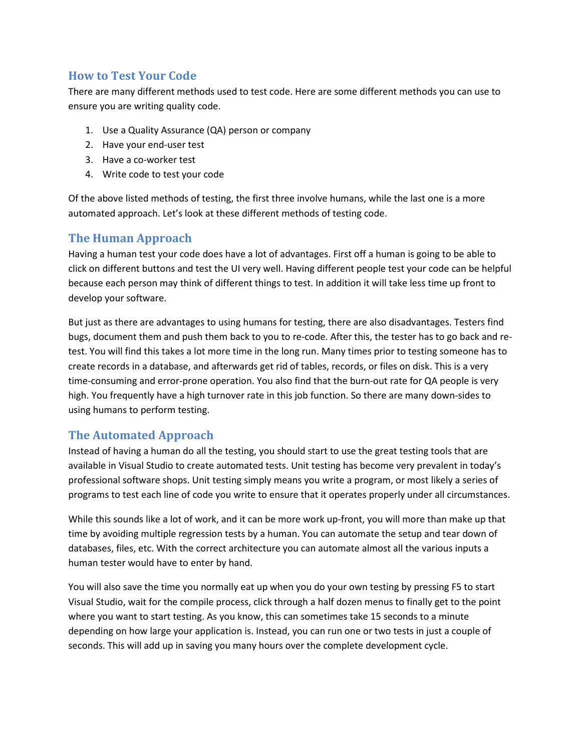#### **How to Test Your Code**

There are many different methods used to test code. Here are some different methods you can use to ensure you are writing quality code.

- 1. Use a Quality Assurance (QA) person or company
- 2. Have your end-user test
- 3. Have a co-worker test
- 4. Write code to test your code

Of the above listed methods of testing, the first three involve humans, while the last one is a more automated approach. Let's look at these different methods of testing code.

#### **The Human Approach**

Having a human test your code does have a lot of advantages. First off a human is going to be able to click on different buttons and test the UI very well. Having different people test your code can be helpful because each person may think of different things to test. In addition it will take less time up front to develop your software.

But just as there are advantages to using humans for testing, there are also disadvantages. Testers find bugs, document them and push them back to you to re-code. After this, the tester has to go back and retest. You will find this takes a lot more time in the long run. Many times prior to testing someone has to create records in a database, and afterwards get rid of tables, records, or files on disk. This is a very time-consuming and error-prone operation. You also find that the burn-out rate for QA people is very high. You frequently have a high turnover rate in this job function. So there are many down-sides to using humans to perform testing.

#### **The Automated Approach**

Instead of having a human do all the testing, you should start to use the great testing tools that are available in Visual Studio to create automated tests. Unit testing has become very prevalent in today's professional software shops. Unit testing simply means you write a program, or most likely a series of programs to test each line of code you write to ensure that it operates properly under all circumstances.

While this sounds like a lot of work, and it can be more work up-front, you will more than make up that time by avoiding multiple regression tests by a human. You can automate the setup and tear down of databases, files, etc. With the correct architecture you can automate almost all the various inputs a human tester would have to enter by hand.

You will also save the time you normally eat up when you do your own testing by pressing F5 to start Visual Studio, wait for the compile process, click through a half dozen menus to finally get to the point where you want to start testing. As you know, this can sometimes take 15 seconds to a minute depending on how large your application is. Instead, you can run one or two tests in just a couple of seconds. This will add up in saving you many hours over the complete development cycle.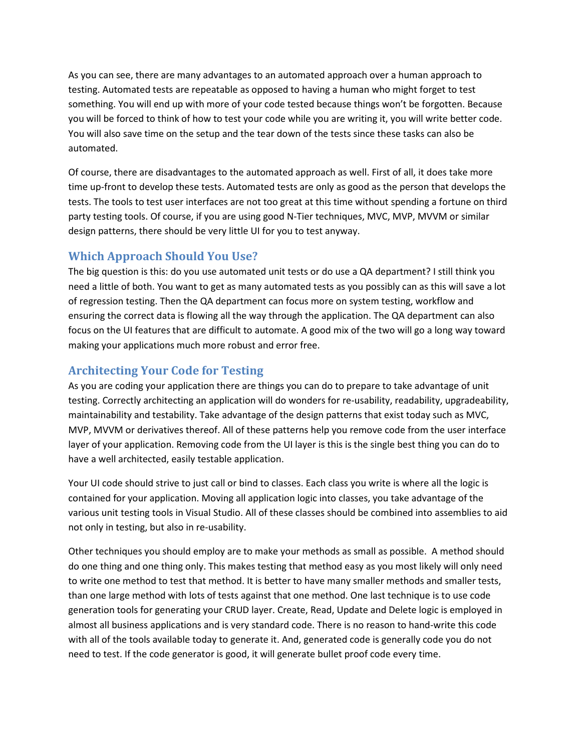As you can see, there are many advantages to an automated approach over a human approach to testing. Automated tests are repeatable as opposed to having a human who might forget to test something. You will end up with more of your code tested because things won't be forgotten. Because you will be forced to think of how to test your code while you are writing it, you will write better code. You will also save time on the setup and the tear down of the tests since these tasks can also be automated.

Of course, there are disadvantages to the automated approach as well. First of all, it does take more time up-front to develop these tests. Automated tests are only as good as the person that develops the tests. The tools to test user interfaces are not too great at this time without spending a fortune on third party testing tools. Of course, if you are using good N-Tier techniques, MVC, MVP, MVVM or similar design patterns, there should be very little UI for you to test anyway.

### **Which Approach Should You Use?**

The big question is this: do you use automated unit tests or do use a QA department? I still think you need a little of both. You want to get as many automated tests as you possibly can as this will save a lot of regression testing. Then the QA department can focus more on system testing, workflow and ensuring the correct data is flowing all the way through the application. The QA department can also focus on the UI features that are difficult to automate. A good mix of the two will go a long way toward making your applications much more robust and error free.

## **Architecting Your Code for Testing**

As you are coding your application there are things you can do to prepare to take advantage of unit testing. Correctly architecting an application will do wonders for re-usability, readability, upgradeability, maintainability and testability. Take advantage of the design patterns that exist today such as MVC, MVP, MVVM or derivatives thereof. All of these patterns help you remove code from the user interface layer of your application. Removing code from the UI layer is this is the single best thing you can do to have a well architected, easily testable application.

Your UI code should strive to just call or bind to classes. Each class you write is where all the logic is contained for your application. Moving all application logic into classes, you take advantage of the various unit testing tools in Visual Studio. All of these classes should be combined into assemblies to aid not only in testing, but also in re-usability.

Other techniques you should employ are to make your methods as small as possible. A method should do one thing and one thing only. This makes testing that method easy as you most likely will only need to write one method to test that method. It is better to have many smaller methods and smaller tests, than one large method with lots of tests against that one method. One last technique is to use code generation tools for generating your CRUD layer. Create, Read, Update and Delete logic is employed in almost all business applications and is very standard code. There is no reason to hand-write this code with all of the tools available today to generate it. And, generated code is generally code you do not need to test. If the code generator is good, it will generate bullet proof code every time.